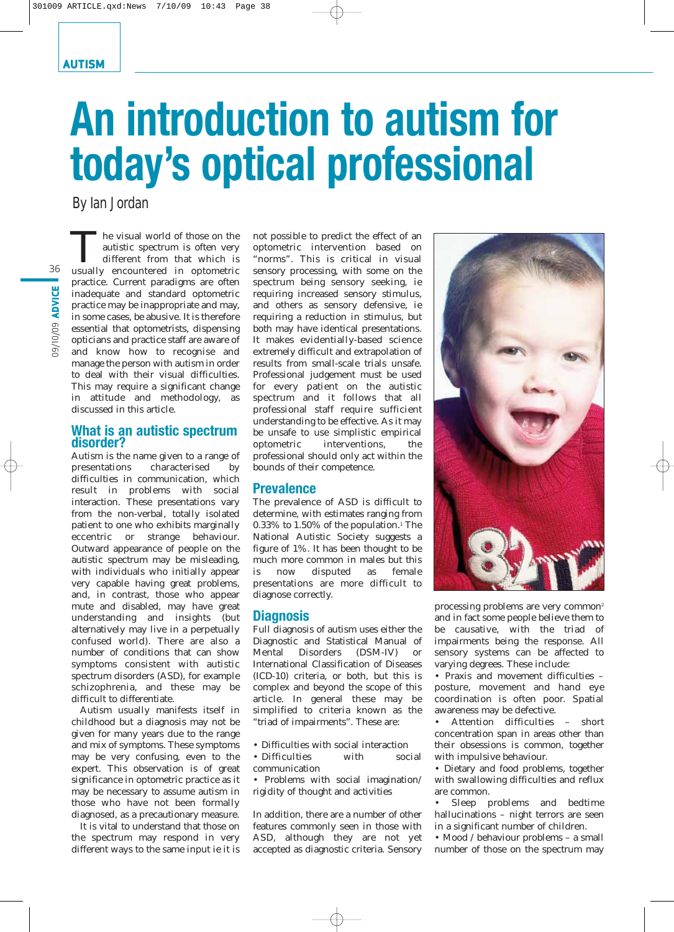# **An introduction to autism for today's optical professional**

By Ian Jordan

The visual world of those on the<br>autistic spectrum is often very<br>different from that which is<br>usually encountered in optometric autistic spectrum is often very different from that which is practice. Current paradigms are often inadequate and standard optometric practice may be inappropriate and may, in some cases, be abusive. It is therefore essential that optometrists, dispensing opticians and practice staff are aware of and know how to recognise and manage the person with autism in order to deal with their visual difficulties. This may require a significant change in attitude and methodology, as discussed in this article.

## **What is an autistic spectrum disorder?**

Autism is the name given to a range of presentations characterised by difficulties in communication, which result in problems with social interaction. These presentations vary from the non-verbal, totally isolated patient to one who exhibits marginally eccentric or strange behaviour. Outward appearance of people on the autistic spectrum may be misleading, with individuals who initially appear very capable having great problems, and, in contrast, those who appear mute and disabled, may have great understanding and insights (but alternatively may live in a perpetually confused world). There are also a number of conditions that can show symptoms consistent with autistic spectrum disorders (ASD), for example schizophrenia, and these may be difficult to differentiate.

Autism usually manifests itself in childhood but a diagnosis may not be given for many years due to the range and mix of symptoms. These symptoms may be very confusing, even to the expert. This observation is of great significance in optometric practice as it may be necessary to assume autism in those who have not been formally diagnosed, as a precautionary measure.

It is vital to understand that those on the spectrum may respond in very different ways to the same input ie it is not possible to predict the effect of an optometric intervention based on "norms". This is critical in visual sensory processing, with some on the spectrum being sensory seeking, ie requiring increased sensory stimulus, and others as sensory defensive, ie requiring a reduction in stimulus, but both may have identical presentations. It makes evidentially-based science extremely difficult and extrapolation of results from small-scale trials unsafe. Professional judgement must be used for every patient on the autistic spectrum and it follows that all professional staff require sufficient understanding to be effective. As it may be unsafe to use simplistic empirical optometric interventions, the professional should only act within the bounds of their competence.

#### **Prevalence**

The prevalence of ASD is difficult to determine, with estimates ranging from  $0.33\%$  to  $1.50\%$  of the population.<sup>1</sup> The National Autistic Society suggests a figure of 1%. It has been thought to be much more common in males but this is now disputed as female presentations are more difficult to diagnose correctly.

#### **Diagnosis**

Full diagnosis of autism uses either the Diagnostic and Statistical Manual of Mental Disorders (DSM-IV) or International Classification of Diseases (ICD-10) criteria, or both, but this is complex and beyond the scope of this article. In general these may be simplified to criteria known as the "triad of impairments". These are:

- Difficulties with social interaction
- Difficulties with social communication
- Problems with social imagination/ rigidity of thought and activities

In addition, there are a number of other features commonly seen in those with ASD, although they are not yet accepted as diagnostic criteria. Sensory



processing problems are very common<sup>2</sup> and in fact some people believe them to be causative, with the triad of impairments being the response. All sensory systems can be affected to varying degrees. These include:

• Praxis and movement difficulties – posture, movement and hand eye coordination is often poor. Spatial awareness may be defective.

• Attention difficulties – short concentration span in areas other than their obsessions is common, together with impulsive behaviour.

• Dietary and food problems, together with swallowing difficulties and reflux are common.

Sleep problems and bedtime hallucinations – night terrors are seen in a significant number of children.

• Mood / behaviour problems – a small number of those on the spectrum may

36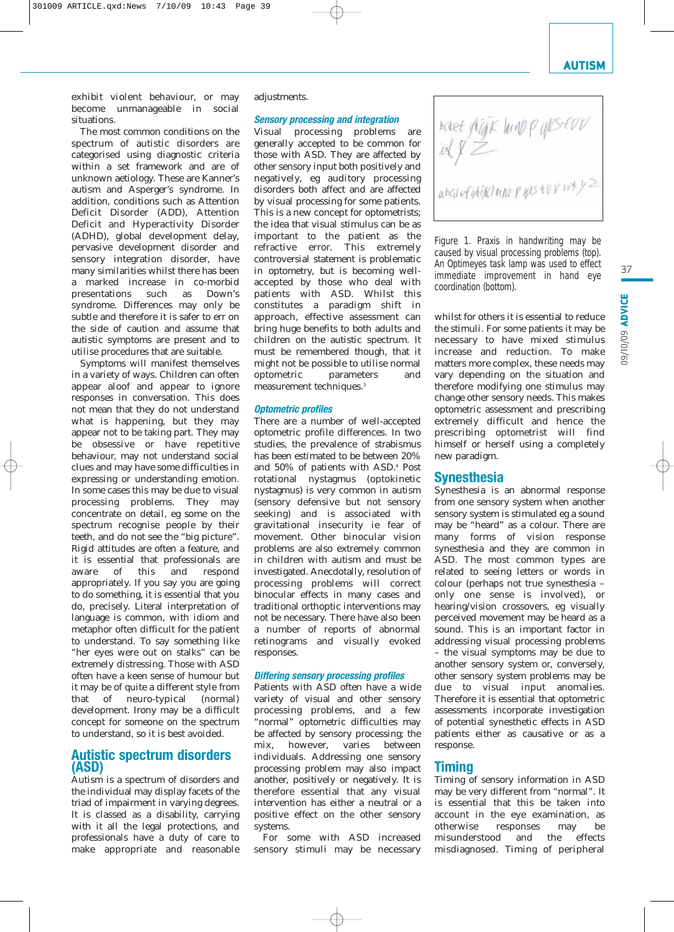exhibit violent behaviour, or may become unmanageable in social situations.

The most common conditions on the spectrum of autistic disorders are categorised using diagnostic criteria within a set framework and are of unknown aetiology. These are Kanner's autism and Asperger's syndrome. In addition, conditions such as Attention Deficit Disorder (ADD), Attention Deficit and Hyperactivity Disorder (ADHD), global development delay, pervasive development disorder and sensory integration disorder, have many similarities whilst there has been a marked increase in co-morbid presentations such as Down's syndrome. Differences may only be subtle and therefore it is safer to err on the side of caution and assume that autistic symptoms are present and to utilise procedures that are suitable.

Symptoms will manifest themselves in a variety of ways. Children can often appear aloof and appear to ignore responses in conversation. This does not mean that they do not understand what is happening, but they may appear not to be taking part. They may be obsessive or have repetitive behaviour, may not understand social clues and may have some difficulties in expressing or understanding emotion. In some cases this may be due to visual processing problems. They may concentrate on detail, eg some on the spectrum recognise people by their teeth, and do not see the "big picture". Rigid attitudes are often a feature, and it is essential that professionals are aware of this and respond appropriately. If you say you are going to do something, it is essential that you do, precisely. Literal interpretation of language is common, with idiom and metaphor often difficult for the patient to understand. To say something like "her eyes were out on stalks" can be extremely distressing. Those with ASD often have a keen sense of humour but it may be of quite a different style from that of neuro-typical (normal) development. Irony may be a difficult concept for someone on the spectrum to understand, so it is best avoided.

## **Autistic spectrum disorders (ASD)**

Autism is a spectrum of disorders and the individual may display facets of the triad of impairment in varying degrees. It is classed as a disability, carrying with it all the legal protections, and professionals have a duty of care to make appropriate and reasonable

#### adjustments.

#### **Sensory processing and integration**

Visual processing problems are generally accepted to be common for those with ASD. They are affected by other sensory input both positively and negatively, eg auditory processing disorders both affect and are affected by visual processing for some patients. This is a new concept for optometrists; the idea that visual stimulus can be as important to the patient as the refractive error. This extremely controversial statement is problematic in optometry, but is becoming wellaccepted by those who deal with patients with ASD. Whilst this constitutes a paradigm shift in approach, effective assessment can bring huge benefits to both adults and children on the autistic spectrum. It must be remembered though, that it might not be possible to utilise normal optometric parameters and measurement techniques.3

#### **Optometric profiles**

There are a number of well-accepted optometric profile differences. In two studies, the prevalence of strabismus has been estimated to be between 20% and 50% of patients with ASD.4 Post rotational nystagmus (optokinetic nystagmus) is very common in autism (sensory defensive but not sensory seeking) and is associated with gravitational insecurity ie fear of movement. Other binocular vision problems are also extremely common in children with autism and must be investigated. Anecdotally, resolution of processing problems will correct binocular effects in many cases and traditional orthoptic interventions may not be necessary. There have also been a number of reports of abnormal retinograms and visually evoked responses.

#### **Differing sensory processing profiles**

Patients with ASD often have a wide variety of visual and other sensory processing problems, and a few 'normal" optometric difficulties may be affected by sensory processing; the mix, however, varies between individuals. Addressing one sensory processing problem may also impact another, positively or negatively. It is therefore essential that any visual intervention has either a neutral or a positive effect on the other sensory systems.

For some with ASD increased sensory stimuli may be necessary

baet Nyk hind p yls con abGleFyliKlune p yts +v v wty2

Figure 1. Praxis in handwriting may be caused by visual processing problems (top). An Optimeyes task lamp was used to effect immediate improvement in hand eye coordination (bottom).

whilst for others it is essential to reduce the stimuli. For some patients it may be necessary to have mixed stimulus increase and reduction. To make matters more complex, these needs may vary depending on the situation and therefore modifying one stimulus may change other sensory needs. This makes optometric assessment and prescribing extremely difficult and hence the prescribing optometrist will find himself or herself using a completely new paradigm.

#### **Synesthesia**

Synesthesia is an abnormal response from one sensory system when another sensory system is stimulated eg a sound may be "heard" as a colour. There are many forms of vision response synesthesia and they are common in ASD. The most common types are related to seeing letters or words in colour (perhaps not true synesthesia – only one sense is involved), or hearing/vision crossovers, eg visually perceived movement may be heard as a sound. This is an important factor in addressing visual processing problems – the visual symptoms may be due to another sensory system or, conversely, other sensory system problems may be due to visual input anomalies. Therefore it is essential that optometric assessments incorporate investigation of potential synesthetic effects in ASD patients either as causative or as a response.

## **Timing**

Timing of sensory information in ASD may be very different from "normal". It is essential that this be taken into account in the eye examination, as otherwise responses may be misunderstood and the effects misdiagnosed. Timing of peripheral 37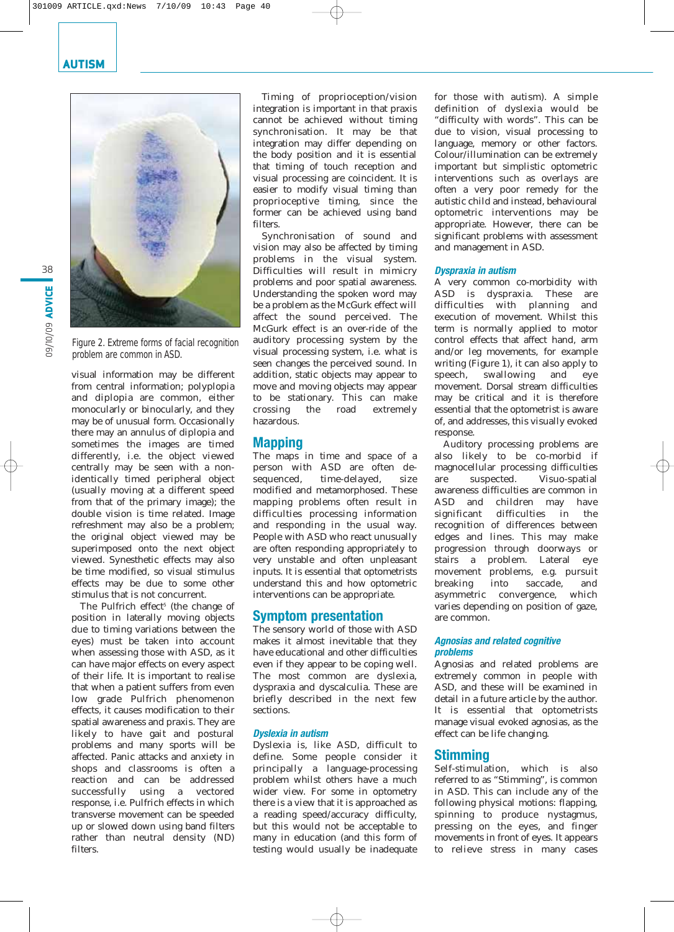

38

Figure 2. Extreme forms of facial recognition problem are common in ASD.

visual information may be different from central information; polyplopia and diplopia are common, either monocularly or binocularly, and they may be of unusual form. Occasionally there may an annulus of diplopia and sometimes the images are timed differently, i.e. the object viewed centrally may be seen with a nonidentically timed peripheral object (usually moving at a different speed from that of the primary image); the double vision is time related. Image refreshment may also be a problem; the original object viewed may be superimposed onto the next object viewed. Synesthetic effects may also be time modified, so visual stimulus effects may be due to some other stimulus that is not concurrent.

The Pulfrich effect<sup>5</sup> (the change of position in laterally moving objects due to timing variations between the eyes) must be taken into account when assessing those with ASD, as it can have major effects on every aspect of their life. It is important to realise that when a patient suffers from even low grade Pulfrich phenomenon effects, it causes modification to their spatial awareness and praxis. They are likely to have gait and postural problems and many sports will be affected. Panic attacks and anxiety in shops and classrooms is often a reaction and can be addressed successfully using a vectored response, i.e. Pulfrich effects in which transverse movement can be speeded up or slowed down using band filters rather than neutral density (ND) filters.

Timing of proprioception/vision integration is important in that praxis cannot be achieved without timing synchronisation. It may be that integration may differ depending on the body position and it is essential that timing of touch reception and visual processing are coincident. It is easier to modify visual timing than proprioceptive timing, since the former can be achieved using band filters.

Synchronisation of sound and vision may also be affected by timing problems in the visual system. Difficulties will result in mimicry problems and poor spatial awareness. Understanding the spoken word may be a problem as the McGurk effect will affect the sound perceived. The McGurk effect is an over-ride of the auditory processing system by the visual processing system, i.e. what is seen changes the perceived sound. In addition, static objects may appear to move and moving objects may appear to be stationary. This can make crossing the road hazardous.

## **Mapping**

The maps in time and space of a person with ASD are often desequenced, time-delayed, size modified and metamorphosed. These mapping problems often result in difficulties processing information and responding in the usual way. People with ASD who react unusually are often responding appropriately to very unstable and often unpleasant inputs. It is essential that optometrists understand this and how optometric interventions can be appropriate.

## **Symptom presentation**

The sensory world of those with ASD makes it almost inevitable that they have educational and other difficulties even if they appear to be coping well. The most common are dyslexia, dyspraxia and dyscalculia. These are briefly described in the next few sections.

#### **Dyslexia in autism**

Dyslexia is, like ASD, difficult to define. Some people consider it principally a language-processing problem whilst others have a much wider view. For some in optometry there is a view that it is approached as a reading speed/accuracy difficulty, but this would not be acceptable to many in education (and this form of testing would usually be inadequate for those with autism). A simple definition of dyslexia would be "difficulty with words". This can be due to vision, visual processing to language, memory or other factors. Colour/illumination can be extremely important but simplistic optometric interventions such as overlays are often a very poor remedy for the autistic child and instead, behavioural optometric interventions may be appropriate. However, there can be significant problems with assessment and management in ASD.

#### **Dyspraxia in autism**

A very common co-morbidity with ASD is dyspraxia. These are difficulties with planning and execution of movement. Whilst this term is normally applied to motor control effects that affect hand, arm and/or leg movements, for example writing (Figure 1), it can also apply to speech, swallowing and eye movement. Dorsal stream difficulties may be critical and it is therefore essential that the optometrist is aware of, and addresses, this visually evoked response.

Auditory processing problems are also likely to be co-morbid if magnocellular processing difficulties are suspected. Visuo-spatial awareness difficulties are common in ASD and children may have significant difficulties in the recognition of differences between edges and lines. This may make progression through doorways or stairs a problem. Lateral eye movement problems, e.g. pursuit breaking into saccade, and asymmetric convergence, which varies depending on position of gaze, are common.

#### **Agnosias and related cognitive problems**

Agnosias and related problems are extremely common in people with ASD, and these will be examined in detail in a future article by the author. It is essential that optometrists manage visual evoked agnosias, as the effect can be life changing.

#### **Stimming**

Self-stimulation, which is also referred to as "Stimming", is common in ASD. This can include any of the following physical motions: flapping, spinning to produce nystagmus, pressing on the eyes, and finger movements in front of eyes. It appears to relieve stress in many cases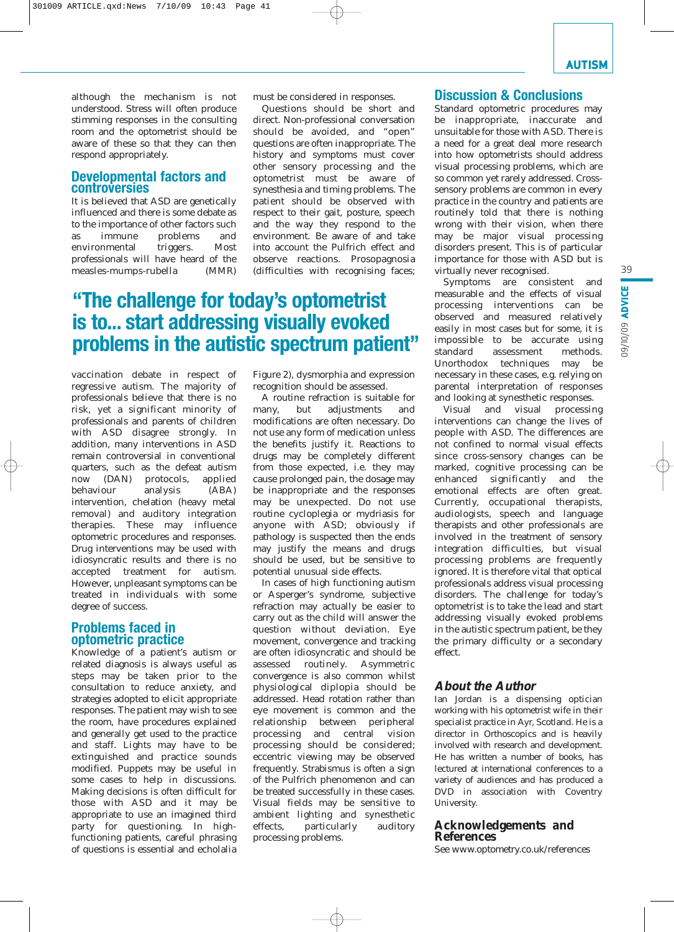although the mechanism is not understood. Stress will often produce stimming responses in the consulting room and the optometrist should be aware of these so that they can then respond appropriately.

## **Developmental factors and controversies**

It is believed that ASD are genetically influenced and there is some debate as to the importance of other factors such as immune problems and environmental triggers. Most professionals will have heard of the measles-mumps-rubella (MMR) must be considered in responses.

Questions should be short and direct. Non-professional conversation should be avoided, and "open" questions are often inappropriate. The history and symptoms must cover other sensory processing and the optometrist must be aware of synesthesia and timing problems. The patient should be observed with respect to their gait, posture, speech and the way they respond to the environment. Be aware of and take into account the Pulfrich effect and observe reactions. Prosopagnosia (difficulties with recognising faces;

## **"The challenge for today's optometrist is to... start addressing visually evoked problems in the autistic spectrum patient"**

vaccination debate in respect of regressive autism. The majority of professionals believe that there is no risk, yet a significant minority of professionals and parents of children with ASD disagree strongly. In addition, many interventions in ASD remain controversial in conventional quarters, such as the defeat autism now (DAN) protocols, applied behaviour analysis (ABA) intervention, chelation (heavy metal removal) and auditory integration therapies. These may influence optometric procedures and responses. Drug interventions may be used with idiosyncratic results and there is no accepted treatment for autism. However, unpleasant symptoms can be treated in individuals with some degree of success.

## **Problems faced in optometric practice**

Knowledge of a patient's autism or related diagnosis is always useful as steps may be taken prior to the consultation to reduce anxiety, and strategies adopted to elicit appropriate responses. The patient may wish to see the room, have procedures explained and generally get used to the practice and staff. Lights may have to be extinguished and practice sounds modified. Puppets may be useful in some cases to help in discussions. Making decisions is often difficult for those with ASD and it may be appropriate to use an imagined third party for questioning. In highfunctioning patients, careful phrasing of questions is essential and echolalia Figure 2), dysmorphia and expression recognition should be assessed.

A routine refraction is suitable for many, but adjustments and modifications are often necessary. Do not use any form of medication unless the benefits justify it. Reactions to drugs may be completely different from those expected, i.e. they may cause prolonged pain, the dosage may be inappropriate and the responses may be unexpected. Do not use routine cycloplegia or mydriasis for anyone with ASD; obviously if pathology is suspected then the ends may justify the means and drugs should be used, but be sensitive to potential unusual side effects.

In cases of high functioning autism or Asperger's syndrome, subjective refraction may actually be easier to carry out as the child will answer the question without deviation. Eye movement, convergence and tracking are often idiosyncratic and should be assessed routinely. Asymmetric convergence is also common whilst physiological diplopia should be addressed. Head rotation rather than eye movement is common and the relationship between peripheral processing and central vision processing should be considered; eccentric viewing may be observed frequently. Strabismus is often a sign of the Pulfrich phenomenon and can be treated successfully in these cases. Visual fields may be sensitive to ambient lighting and synesthetic effects, particularly auditory processing problems.

## **Discussion & Conclusions**

Standard optometric procedures may be inappropriate, inaccurate and unsuitable for those with ASD. There is a need for a great deal more research into how optometrists should address visual processing problems, which are so common yet rarely addressed. Crosssensory problems are common in every practice in the country and patients are routinely told that there is nothing wrong with their vision, when there may be major visual processing disorders present. This is of particular importance for those with ASD but is virtually never recognised.

Symptoms are consistent and measurable and the effects of visual processing interventions can be observed and measured relatively easily in most cases but for some, it is impossible to be accurate using standard assessment methods. Unorthodox techniques may be necessary in these cases, e.g. relying on parental interpretation of responses and looking at synesthetic responses.

Visual and visual processing interventions can change the lives of people with ASD. The differences are not confined to normal visual effects since cross-sensory changes can be marked, cognitive processing can be enhanced significantly and the emotional effects are often great. Currently, occupational therapists, audiologists, speech and language therapists and other professionals are involved in the treatment of sensory integration difficulties, but visual processing problems are frequently ignored. It is therefore vital that optical professionals address visual processing disorders. The challenge for today's optometrist is to take the lead and start addressing visually evoked problems in the autistic spectrum patient, be they the primary difficulty or a secondary effect.

#### **About the Author**

Ian Jordan is a dispensing optician working with his optometrist wife in their specialist practice in Ayr, Scotland. He is a director in Orthoscopics and is heavily involved with research and development. He has written a number of books, has lectured at international conferences to a variety of audiences and has produced a DVD in association with Coventry University.

#### **Acknowledgements and References**

See www.optometry.co.uk/references

39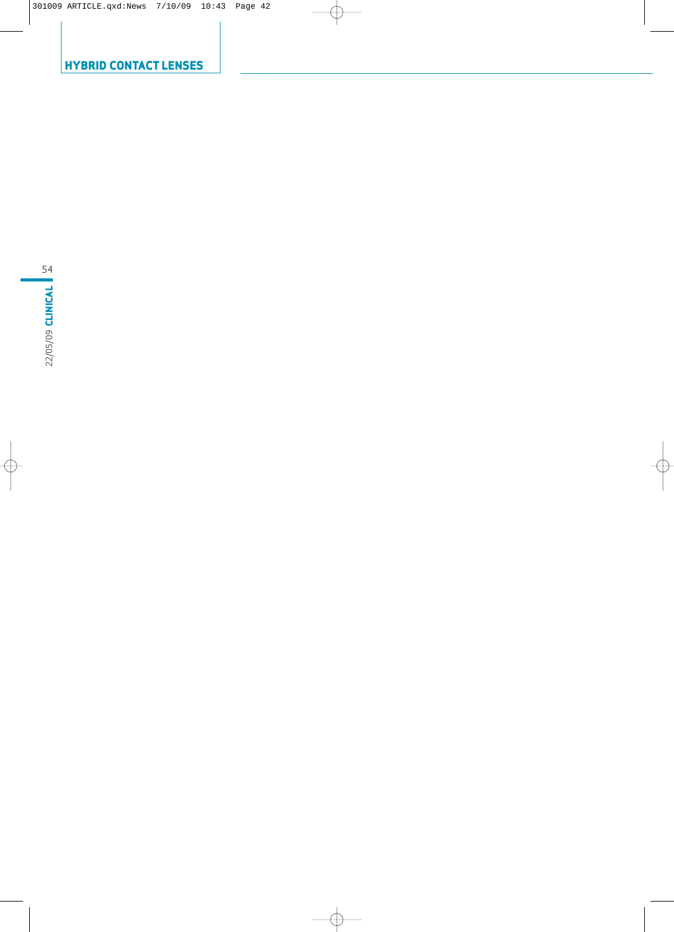$\oplus$ 

 $\overline{\bigoplus}$ 

## **HYBRID CONTACT LENSES**